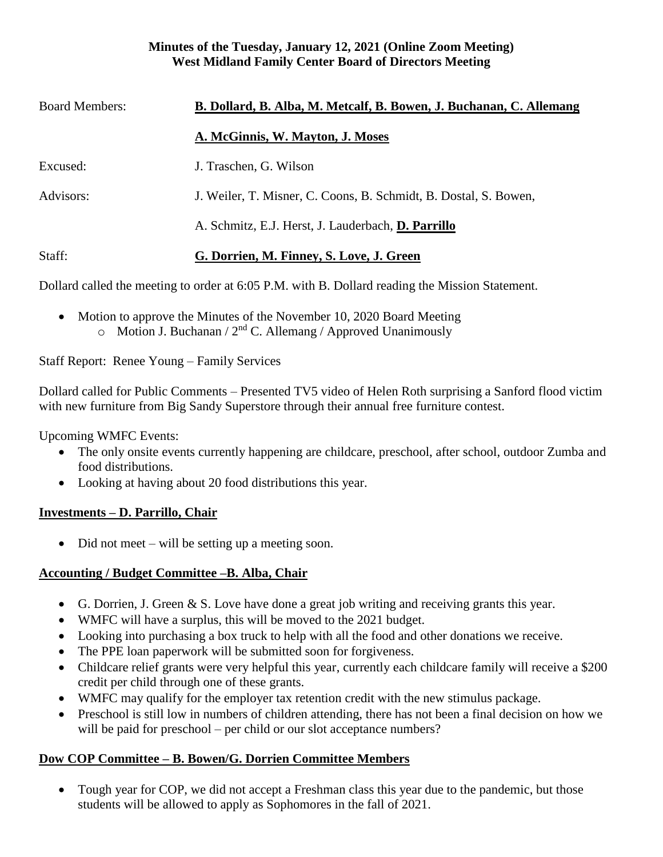#### **Minutes of the Tuesday, January 12, 2021 (Online Zoom Meeting) West Midland Family Center Board of Directors Meeting**

| <b>Board Members:</b> | B. Dollard, B. Alba, M. Metcalf, B. Bowen, J. Buchanan, C. Allemang |
|-----------------------|---------------------------------------------------------------------|
|                       | A. McGinnis, W. Mayton, J. Moses                                    |
| Excused:              | J. Traschen, G. Wilson                                              |
| Advisors:             | J. Weiler, T. Misner, C. Coons, B. Schmidt, B. Dostal, S. Bowen,    |
|                       | A. Schmitz, E.J. Herst, J. Lauderbach, D. Parrillo                  |
| Staff:                | G. Dorrien, M. Finney, S. Love, J. Green                            |

Dollard called the meeting to order at 6:05 P.M. with B. Dollard reading the Mission Statement.

• Motion to approve the Minutes of the November 10, 2020 Board Meeting  $\circ$  Motion J. Buchanan / 2<sup>nd</sup> C. Allemang / Approved Unanimously

Staff Report: Renee Young – Family Services

Dollard called for Public Comments – Presented TV5 video of Helen Roth surprising a Sanford flood victim with new furniture from Big Sandy Superstore through their annual free furniture contest.

Upcoming WMFC Events:

- The only onsite events currently happening are childcare, preschool, after school, outdoor Zumba and food distributions.
- Looking at having about 20 food distributions this year.

### **Investments – D. Parrillo, Chair**

• Did not meet – will be setting up a meeting soon.

### **Accounting / Budget Committee –B. Alba, Chair**

- G. Dorrien, J. Green & S. Love have done a great job writing and receiving grants this year.
- WMFC will have a surplus, this will be moved to the 2021 budget.
- Looking into purchasing a box truck to help with all the food and other donations we receive.
- The PPE loan paperwork will be submitted soon for forgiveness.
- Childcare relief grants were very helpful this year, currently each childcare family will receive a \$200 credit per child through one of these grants.
- WMFC may qualify for the employer tax retention credit with the new stimulus package.
- Preschool is still low in numbers of children attending, there has not been a final decision on how we will be paid for preschool – per child or our slot acceptance numbers?

# **Dow COP Committee – B. Bowen/G. Dorrien Committee Members**

• Tough year for COP, we did not accept a Freshman class this year due to the pandemic, but those students will be allowed to apply as Sophomores in the fall of 2021.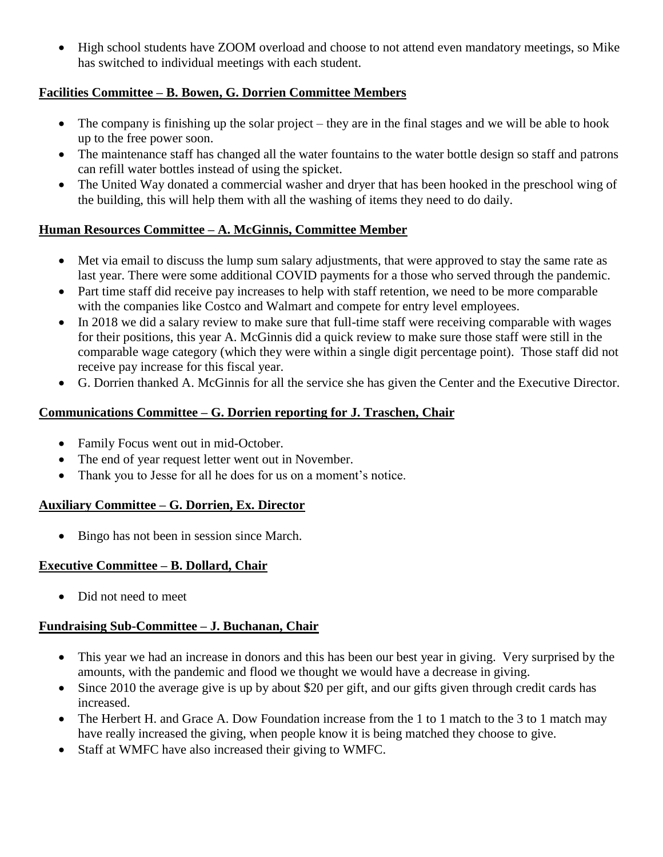• High school students have ZOOM overload and choose to not attend even mandatory meetings, so Mike has switched to individual meetings with each student.

### **Facilities Committee – B. Bowen, G. Dorrien Committee Members**

- The company is finishing up the solar project they are in the final stages and we will be able to hook up to the free power soon.
- The maintenance staff has changed all the water fountains to the water bottle design so staff and patrons can refill water bottles instead of using the spicket.
- The United Way donated a commercial washer and dryer that has been hooked in the preschool wing of the building, this will help them with all the washing of items they need to do daily.

### **Human Resources Committee – A. McGinnis, Committee Member**

- Met via email to discuss the lump sum salary adjustments, that were approved to stay the same rate as last year. There were some additional COVID payments for a those who served through the pandemic.
- Part time staff did receive pay increases to help with staff retention, we need to be more comparable with the companies like Costco and Walmart and compete for entry level employees.
- In 2018 we did a salary review to make sure that full-time staff were receiving comparable with wages for their positions, this year A. McGinnis did a quick review to make sure those staff were still in the comparable wage category (which they were within a single digit percentage point). Those staff did not receive pay increase for this fiscal year.
- G. Dorrien thanked A. McGinnis for all the service she has given the Center and the Executive Director.

### **Communications Committee – G. Dorrien reporting for J. Traschen, Chair**

- Family Focus went out in mid-October.
- The end of year request letter went out in November.
- Thank you to Jesse for all he does for us on a moment's notice.

### **Auxiliary Committee – G. Dorrien, Ex. Director**

• Bingo has not been in session since March.

# **Executive Committee – B. Dollard, Chair**

• Did not need to meet

### **Fundraising Sub-Committee – J. Buchanan, Chair**

- This year we had an increase in donors and this has been our best year in giving. Very surprised by the amounts, with the pandemic and flood we thought we would have a decrease in giving.
- Since 2010 the average give is up by about \$20 per gift, and our gifts given through credit cards has increased.
- The Herbert H. and Grace A. Dow Foundation increase from the 1 to 1 match to the 3 to 1 match may have really increased the giving, when people know it is being matched they choose to give.
- Staff at WMFC have also increased their giving to WMFC.